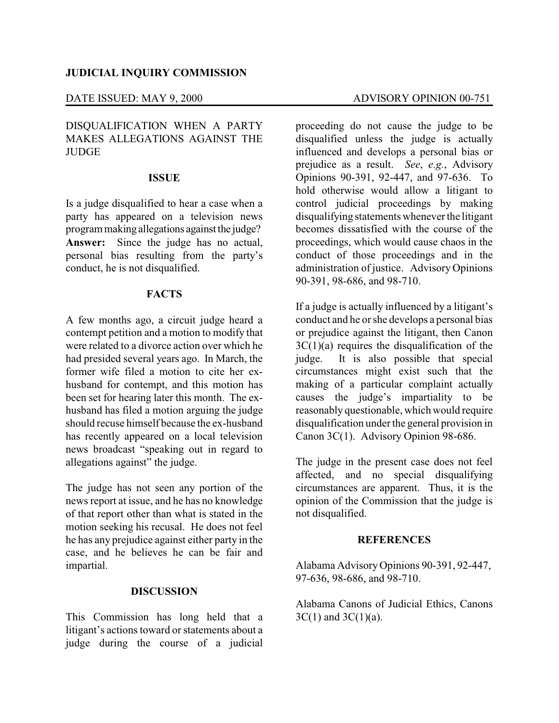# **JUDICIAL INQUIRY COMMISSION**

# DISQUALIFICATION WHEN A PARTY MAKES ALLEGATIONS AGAINST THE **JUDGE**

### **ISSUE**

Is a judge disqualified to hear a case when a party has appeared on a television news program making allegations against the judge? **Answer:** Since the judge has no actual, personal bias resulting from the party's conduct, he is not disqualified.

# **FACTS**

A few months ago, a circuit judge heard a contempt petition and a motion to modify that were related to a divorce action over which he had presided several years ago. In March, the former wife filed a motion to cite her exhusband for contempt, and this motion has been set for hearing later this month. The exhusband has filed a motion arguing the judge should recuse himself because the ex-husband has recently appeared on a local television news broadcast "speaking out in regard to allegations against" the judge.

The judge has not seen any portion of the news report at issue, and he has no knowledge of that report other than what is stated in the motion seeking his recusal. He does not feel he has any prejudice against either party in the case, and he believes he can be fair and impartial.

# **DISCUSSION**

This Commission has long held that a litigant's actions toward or statements about a judge during the course of a judicial

proceeding do not cause the judge to be disqualified unless the judge is actually influenced and develops a personal bias or prejudice as a result. *See*, *e.g.*, Advisory Opinions 90-391, 92-447, and 97-636. To hold otherwise would allow a litigant to control judicial proceedings by making disqualifying statements whenever the litigant becomes dissatisfied with the course of the proceedings, which would cause chaos in the conduct of those proceedings and in the administration of justice. Advisory Opinions 90-391, 98-686, and 98-710.

If a judge is actually influenced by a litigant's conduct and he or she develops a personal bias or prejudice against the litigant, then Canon  $3C(1)(a)$  requires the disqualification of the judge. It is also possible that special circumstances might exist such that the making of a particular complaint actually causes the judge's impartiality to be reasonably questionable, which would require disqualification under the general provision in Canon 3C(1). Advisory Opinion 98-686.

The judge in the present case does not feel affected, and no special disqualifying circumstances are apparent. Thus, it is the opinion of the Commission that the judge is not disqualified.

# **REFERENCES**

Alabama Advisory Opinions 90-391, 92-447, 97-636, 98-686, and 98-710.

Alabama Canons of Judicial Ethics, Canons  $3C(1)$  and  $3C(1)(a)$ .